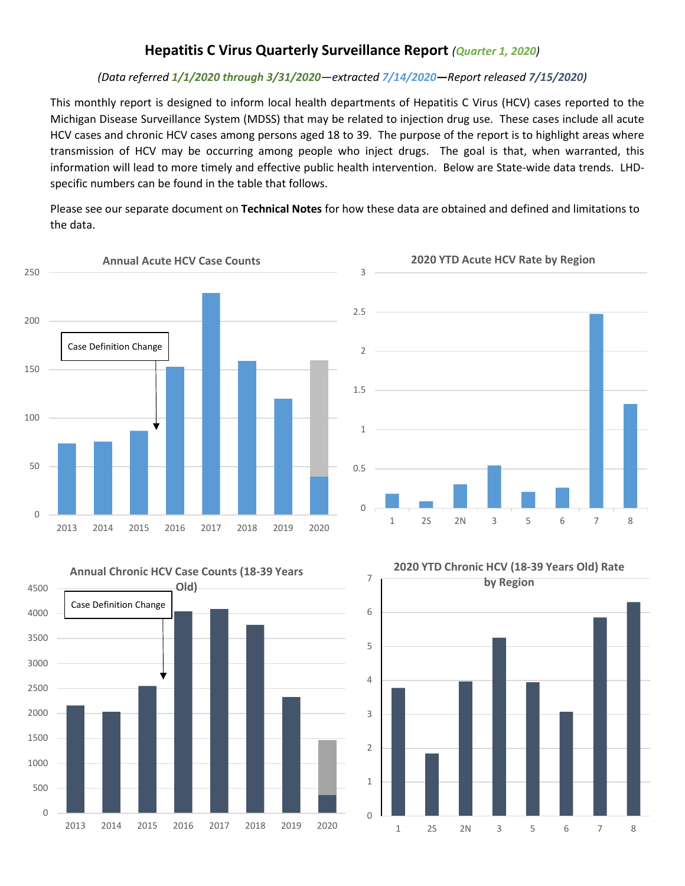## **Hepatitis C Virus Quarterly Surveillance Report** *(Quarter 1, 2020)*

### *(Data referred 1/1/2020 through 3/31/2020—extracted 7/14/2020—Report released 7/15/2020)*

This monthly report is designed to inform local health departments of Hepatitis C Virus (HCV) cases reported to the Michigan Disease Surveillance System (MDSS) that may be related to injection drug use. These cases include all acute HCV cases and chronic HCV cases among persons aged 18 to 39. The purpose of the report is to highlight areas where transmission of HCV may be occurring among people who inject drugs. The goal is that, when warranted, this information will lead to more timely and effective public health intervention. Below are State-wide data trends. LHDspecific numbers can be found in the table that follows.

Please see our separate document on **Technical Notes** for how these data are obtained and defined and limitations to the data.





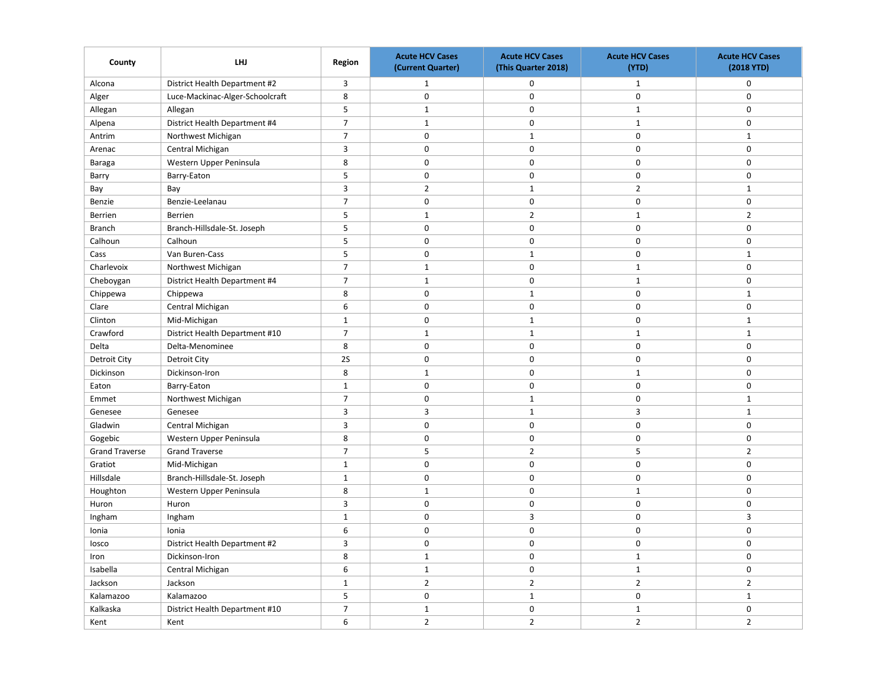| County                | LHJ                             | Region         | <b>Acute HCV Cases</b><br>(Current Quarter) | <b>Acute HCV Cases</b><br>(This Quarter 2018) | <b>Acute HCV Cases</b><br>(YTD) | <b>Acute HCV Cases</b><br>(2018 YTD) |
|-----------------------|---------------------------------|----------------|---------------------------------------------|-----------------------------------------------|---------------------------------|--------------------------------------|
| Alcona                | District Health Department #2   | $\overline{3}$ | $\mathbf{1}$                                | 0                                             | $\mathbf{1}$                    | $\mathsf 0$                          |
| Alger                 | Luce-Mackinac-Alger-Schoolcraft | 8              | $\mathbf 0$                                 | $\mathbf 0$                                   | $\mathbf 0$                     | $\mathbf 0$                          |
| Allegan               | Allegan                         | 5              | $\mathbf{1}$                                | $\mathsf 0$                                   | $\mathbf{1}$                    | $\mathsf 0$                          |
| Alpena                | District Health Department #4   | $\overline{7}$ | $\mathbf 1$                                 | $\pmb{0}$                                     | $\mathbf 1$                     | $\mathsf 0$                          |
| Antrim                | Northwest Michigan              | $\overline{7}$ | $\mathbf 0$                                 | $\mathbf{1}$                                  | $\mathbf 0$                     | $\mathbf{1}$                         |
| Arenac                | Central Michigan                | 3              | $\mathbf 0$                                 | $\mathsf 0$                                   | $\mathsf 0$                     | $\mathsf 0$                          |
| Baraga                | Western Upper Peninsula         | 8              | $\mathsf 0$                                 | $\mathbf 0$                                   | $\mathsf 0$                     | $\mathsf 0$                          |
| Barry                 | Barry-Eaton                     | 5              | $\mathbf 0$                                 | 0                                             | $\mathbf 0$                     | $\mathbf 0$                          |
| Bay                   | Bay                             | 3              | $\overline{2}$                              | $\mathbf{1}$                                  | $\overline{2}$                  | $\mathbf{1}$                         |
| Benzie                | Benzie-Leelanau                 | $\overline{7}$ | $\mathbf 0$                                 | $\mathsf 0$                                   | $\mathbf 0$                     | $\mathsf{O}\xspace$                  |
| <b>Berrien</b>        | Berrien                         | 5              | $\mathbf{1}$                                | $\overline{2}$                                | $\mathbf{1}$                    | $\overline{2}$                       |
| <b>Branch</b>         | Branch-Hillsdale-St. Joseph     | 5              | $\mathsf 0$                                 | $\pmb{0}$                                     | $\mathsf 0$                     | $\mathsf 0$                          |
| Calhoun               | Calhoun                         | 5              | $\mathbf 0$                                 | $\mathsf 0$                                   | $\mathsf{O}\xspace$             | $\mathbf 0$                          |
| Cass                  | Van Buren-Cass                  | 5              | $\mathbf 0$                                 | $\mathbf{1}$                                  | $\mathbf 0$                     | $\mathbf{1}$                         |
| Charlevoix            | Northwest Michigan              | $\overline{7}$ | $\mathbf{1}$                                | $\mathbf 0$                                   | $\mathbf{1}$                    | $\mathsf 0$                          |
| Cheboygan             | District Health Department #4   | $\overline{7}$ | $\mathbf 1$                                 | $\mathbf 0$                                   | $\mathbf 1$                     | $\mathbf 0$                          |
| Chippewa              | Chippewa                        | 8              | $\mathbf 0$                                 | $\mathbf{1}$                                  | $\mathbf 0$                     | $\mathbf{1}$                         |
| Clare                 | Central Michigan                | 6              | $\mathbf 0$                                 | $\mathbf 0$                                   | $\mathsf 0$                     | $\mathsf 0$                          |
| Clinton               | Mid-Michigan                    | $\mathbf{1}$   | 0                                           | $\mathbf{1}$                                  | $\mathbf 0$                     | $\mathbf{1}$                         |
| Crawford              | District Health Department #10  | $\overline{7}$ | $\mathbf 1$                                 | $\mathbf{1}$                                  | $\mathbf 1$                     | $\mathbf{1}$                         |
| Delta                 | Delta-Menominee                 | 8              | $\mathbf 0$                                 | $\mathbf 0$                                   | $\mathsf 0$                     | $\mathsf 0$                          |
| <b>Detroit City</b>   | <b>Detroit City</b>             | 2S             | $\mathbf 0$                                 | 0                                             | $\mathbf 0$                     | $\mathsf 0$                          |
| Dickinson             | Dickinson-Iron                  | 8              | $\mathbf{1}$                                | $\mathbf 0$                                   | $\mathbf{1}$                    | $\mathbf 0$                          |
| Eaton                 | Barry-Eaton                     | $\mathbf{1}$   | $\mathbf 0$                                 | $\pmb{0}$                                     | $\mathsf 0$                     | $\mathsf 0$                          |
| Emmet                 | Northwest Michigan              | $\overline{7}$ | 0                                           | $\mathbf 1$                                   | $\mathsf 0$                     | $\mathbf 1$                          |
| Genesee               | Genesee                         | $\overline{3}$ | $\overline{3}$                              | $\mathbf{1}$                                  | $\overline{3}$                  | $\mathbf{1}$                         |
| Gladwin               | Central Michigan                | 3              | $\mathbf 0$                                 | $\mathsf 0$                                   | $\mathsf 0$                     | $\mathbf 0$                          |
| Gogebic               | Western Upper Peninsula         | 8              | $\mathbf 0$                                 | $\mathbf 0$                                   | $\mathbf 0$                     | $\mathsf 0$                          |
| <b>Grand Traverse</b> | <b>Grand Traverse</b>           | $\overline{7}$ | $\sf 5$                                     | $\mathbf 2$                                   | 5                               | $\overline{2}$                       |
| Gratiot               | Mid-Michigan                    | $\mathbf{1}$   | $\mathbf 0$                                 | $\mathbf 0$                                   | $\mathsf 0$                     | $\mathsf 0$                          |
| Hillsdale             | Branch-Hillsdale-St. Joseph     | $\mathbf{1}$   | 0                                           | $\mathbf 0$                                   | $\mathbf 0$                     | $\mathbf 0$                          |
| Houghton              | Western Upper Peninsula         | 8              | $\mathbf 1$                                 | $\pmb{0}$                                     | $\mathbf 1$                     | $\mathbf 0$                          |
| Huron                 | Huron                           | 3              | $\mathbf 0$                                 | $\mathsf 0$                                   | $\mathsf 0$                     | $\mathsf 0$                          |
| Ingham                | Ingham                          | $\mathbf{1}$   | $\mathbf 0$                                 | 3                                             | $\mathbf 0$                     | $\overline{3}$                       |
| Ionia                 | Ionia                           | 6              | $\mathbf 0$                                 | $\mathbf 0$                                   | $\mathbf 0$                     | $\mathbf 0$                          |
| losco                 | District Health Department #2   | 3              | $\mathsf 0$                                 | $\pmb{0}$                                     | $\mathsf 0$                     | $\mathsf 0$                          |
| Iron                  | Dickinson-Iron                  | 8              | $\mathbf{1}$                                | $\mathbf 0$                                   | $\mathbf{1}$                    | $\mathbf 0$                          |
| Isabella              | Central Michigan                | 6              | $\mathbf{1}$                                | $\mathsf 0$                                   | $\mathbf 1$                     | $\mathbf 0$                          |
| Jackson               | Jackson                         | $\mathbf{1}$   | $\overline{2}$                              | $\overline{2}$                                | $\overline{2}$                  | $\overline{2}$                       |
| Kalamazoo             | Kalamazoo                       | 5              | $\mathbf 0$                                 | $\mathbf{1}$                                  | $\mathbf 0$                     | $\mathbf{1}$                         |
| Kalkaska              | District Health Department #10  | $\overline{7}$ | $\mathbf{1}$                                | $\mathsf 0$                                   | $\mathbf{1}$                    | $\mathsf 0$                          |
| Kent                  | Kent                            | 6              | $\overline{2}$                              | $\overline{2}$                                | $\overline{2}$                  | $\overline{2}$                       |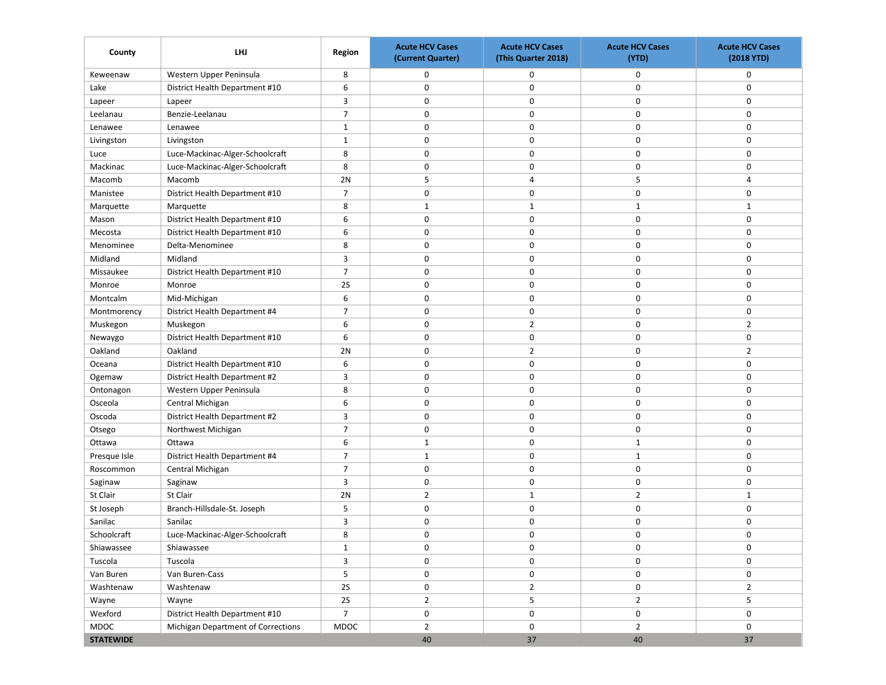| County           | LHJ                                | Region         | <b>Acute HCV Cases</b><br>(Current Quarter) | <b>Acute HCV Cases</b><br>(This Quarter 2018) | <b>Acute HCV Cases</b><br>(YTD) | <b>Acute HCV Cases</b><br>(2018 YTD) |
|------------------|------------------------------------|----------------|---------------------------------------------|-----------------------------------------------|---------------------------------|--------------------------------------|
| Keweenaw         | Western Upper Peninsula            | 8              | 0                                           | 0                                             | 0                               | 0                                    |
| Lake             | District Health Department #10     | 6              | 0                                           | 0                                             | 0                               | 0                                    |
| Lapeer           | Lapeer                             | 3              | 0                                           | 0                                             | 0                               | 0                                    |
| Leelanau         | Benzie-Leelanau                    | $\overline{7}$ | 0                                           | 0                                             | $\mathbf 0$                     | 0                                    |
| Lenawee          | Lenawee                            | $\mathbf{1}$   | 0                                           | 0                                             | $\mathbf 0$                     | 0                                    |
| Livingston       | Livingston                         | $\mathbf{1}$   | $\mathbf 0$                                 | 0                                             | $\mathbf 0$                     | 0                                    |
| Luce             | Luce-Mackinac-Alger-Schoolcraft    | 8              | 0                                           | 0                                             | 0                               | 0                                    |
| Mackinac         | Luce-Mackinac-Alger-Schoolcraft    | 8              | 0                                           | 0                                             | 0                               | 0                                    |
| Macomb           | Macomb                             | 2N             | 5                                           | 4                                             | 5                               | $\overline{4}$                       |
| Manistee         | District Health Department #10     | $\overline{7}$ | 0                                           | 0                                             | $\mathbf 0$                     | 0                                    |
| Marquette        | Marquette                          | 8              | $\mathbf{1}$                                | 1                                             | $\mathbf{1}$                    | $\mathbf{1}$                         |
| Mason            | District Health Department #10     | 6              | 0                                           | 0                                             | $\mathbf 0$                     | 0                                    |
| Mecosta          | District Health Department #10     | 6              | 0                                           | 0                                             | 0                               | 0                                    |
| Menominee        | Delta-Menominee                    | 8              | 0                                           | 0                                             | 0                               | 0                                    |
| Midland          | Midland                            | 3              | $\mathbf 0$                                 | 0                                             | $\mathbf 0$                     | 0                                    |
| Missaukee        | District Health Department #10     | $\overline{7}$ | 0                                           | 0                                             | $\mathbf 0$                     | 0                                    |
| Monroe           | Monroe                             | 2S             | 0                                           | $\pmb{0}$                                     | $\mathbf 0$                     | 0                                    |
| Montcalm         | Mid-Michigan                       | 6              | $\mathbf 0$                                 | 0                                             | $\mathbf 0$                     | $\mathbf 0$                          |
| Montmorency      | District Health Department #4      | $\overline{7}$ | 0                                           | 0                                             | 0                               | 0                                    |
| Muskegon         | Muskegon                           | 6              | $\mathbf 0$                                 | $\overline{2}$                                | 0                               | $\overline{2}$                       |
| Newaygo          | District Health Department #10     | 6              | $\mathbf 0$                                 | 0                                             | $\mathbf 0$                     | 0                                    |
| Oakland          | Oakland                            | 2N             | $\mathbf 0$                                 | $\overline{2}$                                | 0                               | $\overline{2}$                       |
| Oceana           | District Health Department #10     | 6              | 0                                           | $\pmb{0}$                                     | $\mathbf 0$                     | 0                                    |
| Ogemaw           | District Health Department #2      | 3              | 0                                           | 0                                             | $\mathbf 0$                     | 0                                    |
| Ontonagon        | Western Upper Peninsula            | 8              | 0                                           | 0                                             | 0                               | 0                                    |
| Osceola          | Central Michigan                   | 6              | 0                                           | 0                                             | 0                               | 0                                    |
| Oscoda           | District Health Department #2      | 3              | 0                                           | 0                                             | 0                               | $\mathbf 0$                          |
| Otsego           | Northwest Michigan                 | $\overline{7}$ | 0                                           | 0                                             | $\mathbf 0$                     | 0                                    |
| Ottawa           | Ottawa                             | 6              | $\mathbf{1}$                                | $\pmb{0}$                                     | $\mathbf{1}$                    | 0                                    |
| Presque Isle     | District Health Department #4      | $\overline{7}$ | $\mathbf{1}$                                | 0                                             | $\mathbf{1}$                    | 0                                    |
| Roscommon        | Central Michigan                   | $\overline{7}$ | 0                                           | 0                                             | 0                               | 0                                    |
| Saginaw          | Saginaw                            | 3              | 0                                           | 0                                             | 0                               | 0                                    |
| St Clair         | St Clair                           | 2N             | $\overline{2}$                              | 1                                             | 2                               | $\mathbf{1}$                         |
| St Joseph        | Branch-Hillsdale-St. Joseph        | 5              | $\mathbf 0$                                 | 0                                             | 0                               | 0                                    |
| Sanilac          | Sanilac                            | 3              | 0                                           | $\pmb{0}$                                     | 0                               | 0                                    |
| Schoolcraft      | Luce-Mackinac-Alger-Schoolcraft    | 8              | $\Omega$                                    | $\mathbf 0$                                   | $\mathbf 0$                     | 0                                    |
| Shiawassee       | Shiawassee                         | $\mathbf{1}$   | 0                                           | 0                                             | 0                               | 0                                    |
| Tuscola          | Tuscola                            | $\overline{3}$ | 0                                           | 0                                             | 0                               | 0                                    |
| Van Buren        | Van Buren-Cass                     | $\overline{5}$ | 0                                           | 0                                             | 0                               | 0                                    |
| Washtenaw        | Washtenaw                          | <b>2S</b>      | 0                                           | $\overline{2}$                                | $\mathbf 0$                     | $\overline{2}$                       |
| Wayne            | Wayne                              | 2S             | $\overline{2}$                              | 5                                             | $\overline{2}$                  | 5                                    |
| Wexford          | District Health Department #10     | $\overline{7}$ | 0                                           | $\pmb{0}$                                     | 0                               | $\mathbf 0$                          |
| MDOC             | Michigan Department of Corrections | MDOC           | $\overline{2}$                              | 0                                             | $\overline{2}$                  | 0                                    |
| <b>STATEWIDE</b> |                                    |                | 40                                          | 37                                            | 40                              | 37                                   |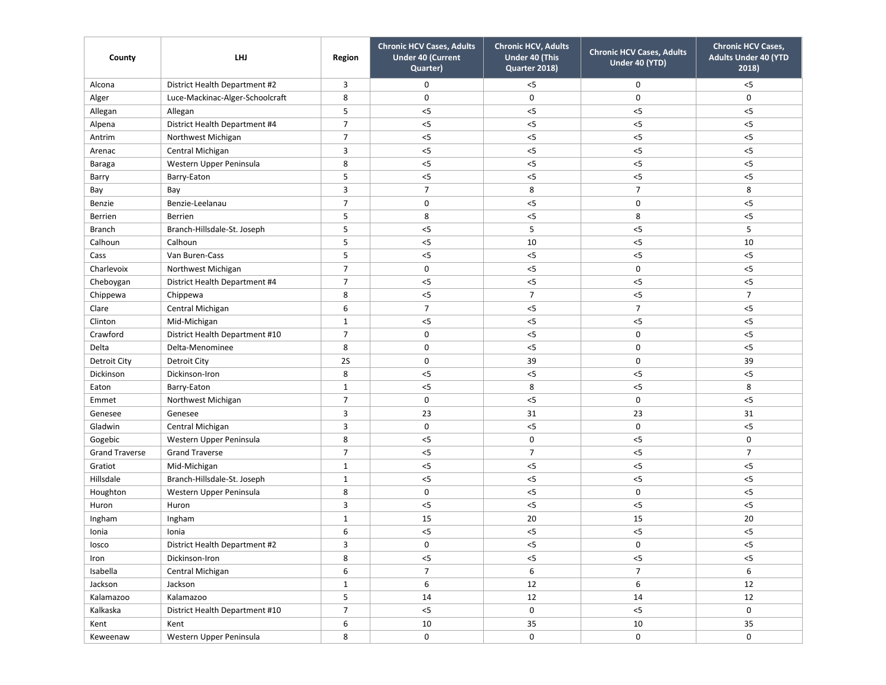| County                | LHJ                             | Region         | <b>Chronic HCV Cases, Adults</b><br><b>Under 40 (Current</b><br>Quarter) | <b>Chronic HCV, Adults</b><br>Under 40 (This<br>Quarter 2018) | <b>Chronic HCV Cases, Adults</b><br>Under 40 (YTD) | <b>Chronic HCV Cases,</b><br><b>Adults Under 40 (YTD</b><br>2018) |
|-----------------------|---------------------------------|----------------|--------------------------------------------------------------------------|---------------------------------------------------------------|----------------------------------------------------|-------------------------------------------------------------------|
| Alcona                | District Health Department #2   | 3              | 0                                                                        | $<$ 5                                                         | 0                                                  | < 5                                                               |
| Alger                 | Luce-Mackinac-Alger-Schoolcraft | 8              | $\mathbf 0$                                                              | $\mathsf 0$                                                   | $\mathbf 0$                                        | 0                                                                 |
| Allegan               | Allegan                         | 5              | $<$ 5                                                                    | $<$ 5                                                         | $<$ 5                                              | < 5                                                               |
| Alpena                | District Health Department #4   | $\overline{7}$ | $<$ 5                                                                    | $<$ 5                                                         | $<$ 5                                              | $<$ 5                                                             |
| Antrim                | Northwest Michigan              | $\overline{7}$ | $<$ 5                                                                    | $<$ 5                                                         | $<$ 5                                              | < 5                                                               |
| Arenac                | Central Michigan                | 3              | $<$ 5                                                                    | $<$ 5                                                         | 5                                                  | $<$ 5                                                             |
| Baraga                | Western Upper Peninsula         | 8              | $<$ 5                                                                    | $<$ 5                                                         | $<$ 5                                              | $< 5$                                                             |
| Barry                 | Barry-Eaton                     | 5              | $<$ 5                                                                    | $<$ 5                                                         | $<$ 5                                              | $< 5$                                                             |
| Bay                   | Bay                             | 3              | $\overline{7}$                                                           | 8                                                             | $\overline{7}$                                     | 8                                                                 |
| Benzie                | Benzie-Leelanau                 | $\overline{7}$ | $\mathbf 0$                                                              | $<$ 5                                                         | $\mathbf 0$                                        | $< 5$                                                             |
| <b>Berrien</b>        | Berrien                         | 5              | 8                                                                        | $<$ 5                                                         | 8                                                  | < 5                                                               |
| <b>Branch</b>         | Branch-Hillsdale-St. Joseph     | 5              | $<$ 5                                                                    | 5                                                             | $<$ 5                                              | 5                                                                 |
| Calhoun               | Calhoun                         | 5              | $<$ 5                                                                    | 10                                                            | $<$ 5                                              | 10                                                                |
| Cass                  | Van Buren-Cass                  | 5              | $<$ 5                                                                    | $<$ 5                                                         | $<$ 5                                              | $< 5$                                                             |
| Charlevoix            | Northwest Michigan              | $\overline{7}$ | $\mathbf 0$                                                              | $<$ 5                                                         | $\mathbf 0$                                        | $<$ 5                                                             |
| Cheboygan             | District Health Department #4   | 7              | $<$ 5                                                                    | $<$ 5                                                         | $<$ 5                                              | $<$ 5                                                             |
| Chippewa              | Chippewa                        | 8              | $<$ 5                                                                    | $\overline{7}$                                                | $<$ 5                                              | $\overline{7}$                                                    |
| Clare                 | Central Michigan                | 6              | $\overline{7}$                                                           | $<$ 5                                                         | $\overline{7}$                                     | $<$ 5                                                             |
| Clinton               | Mid-Michigan                    | $\mathbf{1}$   | $< 5$                                                                    | $<$ 5                                                         | $<$ 5                                              | $< 5$                                                             |
| Crawford              | District Health Department #10  | 7              | $\mathbf 0$                                                              | $<$ 5                                                         | $\mathbf 0$                                        | $< 5$                                                             |
| Delta                 | Delta-Menominee                 | 8              | $\mathbf 0$                                                              | $<$ 5                                                         | $\mathbf 0$                                        | $<$ 5                                                             |
| <b>Detroit City</b>   | Detroit City                    | 2S             | $\mathbf 0$                                                              | 39                                                            | $\mathbf 0$                                        | 39                                                                |
| Dickinson             | Dickinson-Iron                  | 8              | $<$ 5                                                                    | $<$ 5                                                         | $<$ 5                                              | $<$ 5                                                             |
| Eaton                 | Barry-Eaton                     | 1              | $<$ 5                                                                    | 8                                                             | $<$ 5                                              | 8                                                                 |
| Emmet                 | Northwest Michigan              | $\overline{7}$ | $\mathbf 0$                                                              | $<$ 5                                                         | $\mathbf 0$                                        | $<$ 5                                                             |
| Genesee               | Genesee                         | 3              | 23                                                                       | 31                                                            | 23                                                 | 31                                                                |
| Gladwin               | Central Michigan                | 3              | $\mathbf 0$                                                              | $<$ 5                                                         | $\mathbf 0$                                        | $<$ 5                                                             |
| Gogebic               | Western Upper Peninsula         | 8              | $<$ 5                                                                    | $\mathsf 0$                                                   | $<$ 5                                              | 0                                                                 |
| <b>Grand Traverse</b> | <b>Grand Traverse</b>           | $\overline{7}$ | $<$ 5                                                                    | $\overline{7}$                                                | $<$ 5                                              | $\overline{7}$                                                    |
| Gratiot               | Mid-Michigan                    | $\mathbf{1}$   | $<$ 5                                                                    | $<$ 5                                                         | $<$ 5                                              | $<$ 5                                                             |
| Hillsdale             | Branch-Hillsdale-St. Joseph     | $1\,$          | 5                                                                        | $<$ 5                                                         | $<$ 5                                              | $< 5$                                                             |
| Houghton              | Western Upper Peninsula         | 8              | $\mathbf 0$                                                              | $<$ 5                                                         | $\mathbf 0$                                        | $< 5$                                                             |
| Huron                 | Huron                           | 3              | $<$ 5                                                                    | $<$ 5                                                         | $<$ 5                                              | $< 5$                                                             |
| Ingham                | Ingham                          | $1\,$          | 15                                                                       | 20                                                            | 15                                                 | 20                                                                |
| Ionia                 | Ionia                           | 6              | $<$ 5                                                                    | $<$ 5                                                         | $<$ 5                                              | $<$ 5                                                             |
| losco                 | District Health Department #2   | 3              | $\mathbf 0$                                                              | $<$ 5                                                         | $\mathbf 0$                                        | $< 5$                                                             |
| Iron                  | Dickinson-Iron                  | 8              | $< 5$                                                                    | $< 5$                                                         | $< 5$                                              | $<$ 5                                                             |
| Isabella              | Central Michigan                | 6              | $7\overline{ }$                                                          | 6                                                             | $\overline{7}$                                     | 6                                                                 |
| Jackson               | Jackson                         | $\mathbf{1}$   | 6                                                                        | 12                                                            | 6                                                  | 12                                                                |
| Kalamazoo             | Kalamazoo                       | 5              | 14                                                                       | 12                                                            | 14                                                 | 12                                                                |
| Kalkaska              | District Health Department #10  | $\overline{7}$ | $< 5$                                                                    | 0                                                             | $< 5$                                              | 0                                                                 |
| Kent                  | Kent                            | 6              | 10                                                                       | 35                                                            | 10                                                 | 35                                                                |
| Keweenaw              | Western Upper Peninsula         | 8              | $\mathbf 0$                                                              | 0                                                             | 0                                                  | $\mathsf{O}$                                                      |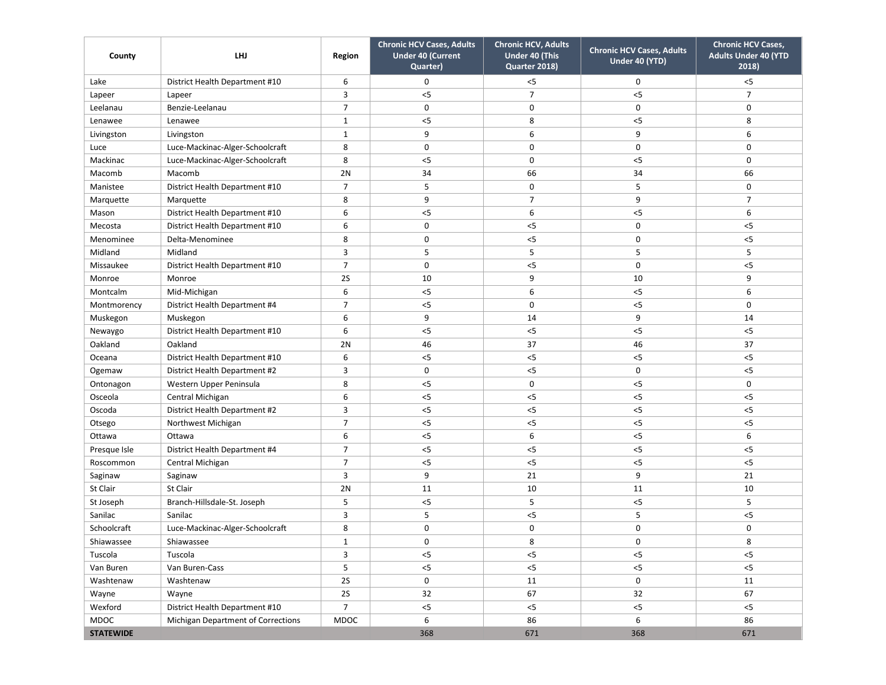| County           | LHJ                                | Region         | <b>Chronic HCV Cases, Adults</b><br><b>Under 40 (Current</b><br>Quarter) | <b>Chronic HCV, Adults</b><br>Under 40 (This<br>Quarter 2018) | <b>Chronic HCV Cases, Adults</b><br>Under 40 (YTD) | <b>Chronic HCV Cases,</b><br><b>Adults Under 40 (YTD</b><br>2018) |
|------------------|------------------------------------|----------------|--------------------------------------------------------------------------|---------------------------------------------------------------|----------------------------------------------------|-------------------------------------------------------------------|
| Lake             | District Health Department #10     | 6              | $\mathbf 0$                                                              | < 5                                                           | $\mathbf 0$                                        | $<$ 5                                                             |
| Lapeer           | Lapeer                             | 3              | $<$ 5                                                                    | $\overline{7}$                                                | $<$ 5                                              | $\overline{7}$                                                    |
| Leelanau         | Benzie-Leelanau                    | $\overline{7}$ | $\mathbf 0$                                                              | 0                                                             | $\mathbf 0$                                        | 0                                                                 |
| Lenawee          | Lenawee                            | $\mathbf{1}$   | $<$ 5                                                                    | 8                                                             | $<$ 5                                              | 8                                                                 |
| Livingston       | Livingston                         | $\mathbf{1}$   | 9                                                                        | 6                                                             | 9                                                  | 6                                                                 |
| Luce             | Luce-Mackinac-Alger-Schoolcraft    | 8              | $\mathbf 0$                                                              | 0                                                             | $\mathbf 0$                                        | 0                                                                 |
| Mackinac         | Luce-Mackinac-Alger-Schoolcraft    | 8              | $<$ 5                                                                    | 0                                                             | $<$ 5                                              | 0                                                                 |
| Macomb           | Macomb                             | 2N             | 34                                                                       | 66                                                            | 34                                                 | 66                                                                |
| Manistee         | District Health Department #10     | $\overline{7}$ | 5                                                                        | 0                                                             | 5                                                  | 0                                                                 |
| Marquette        | Marquette                          | 8              | 9                                                                        | $\overline{7}$                                                | 9                                                  | $\overline{7}$                                                    |
| Mason            | District Health Department #10     | 6              | $<$ 5                                                                    | 6                                                             | $<$ 5                                              | 6                                                                 |
| Mecosta          | District Health Department #10     | 6              | $\mathbf 0$                                                              | $<$ 5                                                         | $\mathbf 0$                                        | $<$ 5                                                             |
| Menominee        | Delta-Menominee                    | 8              | $\mathbf 0$                                                              | $<$ 5                                                         | 0                                                  | $< 5$                                                             |
| Midland          | Midland                            | 3              | 5                                                                        | 5                                                             | 5                                                  | 5                                                                 |
| Missaukee        | District Health Department #10     | $\overline{7}$ | $\mathbf 0$                                                              | $< 5$                                                         | 0                                                  | $<$ 5                                                             |
| Monroe           | Monroe                             | 2S             | 10                                                                       | 9                                                             | 10                                                 | 9                                                                 |
| Montcalm         | Mid-Michigan                       | 6              | $<$ 5                                                                    | 6                                                             | $<$ 5                                              | 6                                                                 |
| Montmorency      | District Health Department #4      | 7              | $<$ 5                                                                    | 0                                                             | $<$ 5                                              | 0                                                                 |
| Muskegon         | Muskegon                           | 6              | 9                                                                        | 14                                                            | 9                                                  | 14                                                                |
| Newaygo          | District Health Department #10     | 6              | $<$ 5                                                                    | $<$ 5                                                         | $<$ 5                                              | $< 5$                                                             |
| Oakland          | Oakland                            | 2N             | 46                                                                       | 37                                                            | 46                                                 | 37                                                                |
| Oceana           | District Health Department #10     | 6              | $<$ 5                                                                    | $<$ 5                                                         | $< 5$                                              | $<$ 5                                                             |
| Ogemaw           | District Health Department #2      | 3              | 0                                                                        | $<$ 5                                                         | $\mathbf 0$                                        | $<$ 5                                                             |
| Ontonagon        | Western Upper Peninsula            | 8              | $<$ 5                                                                    | 0                                                             | $<$ 5                                              | 0                                                                 |
| Osceola          | Central Michigan                   | 6              | $<$ 5                                                                    | $<$ 5                                                         | $<$ 5                                              | $<$ 5                                                             |
| Oscoda           | District Health Department #2      | 3              | $<$ 5                                                                    | $<$ 5                                                         | $< 5$                                              | $< 5$                                                             |
| Otsego           | Northwest Michigan                 | $\overline{7}$ | $<$ 5                                                                    | $<$ 5                                                         | $<$ 5                                              | $<$ 5                                                             |
| Ottawa           | Ottawa                             | 6              | $<$ 5                                                                    | 6                                                             | $<$ 5                                              | 6                                                                 |
| Presque Isle     | District Health Department #4      | $\overline{7}$ | $<$ 5                                                                    | $<$ 5                                                         | $<$ 5                                              | $<$ 5                                                             |
| Roscommon        | Central Michigan                   | 7              | $<$ 5                                                                    | $<$ 5                                                         | $< 5$                                              | $<$ 5                                                             |
| Saginaw          | Saginaw                            | 3              | 9                                                                        | 21                                                            | 9                                                  | 21                                                                |
| St Clair         | St Clair                           | 2N             | 11                                                                       | 10                                                            | 11                                                 | 10                                                                |
| St Joseph        | Branch-Hillsdale-St. Joseph        | 5              | $<$ 5                                                                    | 5                                                             | $< 5$                                              | 5                                                                 |
| Sanilac          | Sanilac                            | 3              | 5                                                                        | $<$ 5                                                         | 5                                                  | $< 5$                                                             |
| Schoolcraft      | Luce-Mackinac-Alger-Schoolcraft    | 8              | $\mathbf 0$                                                              | 0                                                             | $\mathbf 0$                                        | 0                                                                 |
| Shiawassee       | Shiawassee                         | 1              | 0                                                                        | 8                                                             | 0                                                  | 8                                                                 |
| Tuscola          | Tuscola                            | 3              | $<$ 5                                                                    | $<$ 5                                                         | $<$ 5                                              | $<$ 5                                                             |
| Van Buren        | Van Buren-Cass                     | 5              | $< 5$                                                                    | $< 5$                                                         | $< 5$                                              | $<$ 5                                                             |
| Washtenaw        | Washtenaw                          | 2S             | 0                                                                        | 11                                                            | 0                                                  | 11                                                                |
| Wayne            | Wayne                              | 2S             | 32                                                                       | 67                                                            | 32                                                 | 67                                                                |
| Wexford          | District Health Department #10     | $\overline{7}$ | $< 5$                                                                    | $< 5$                                                         | $< 5$                                              | $<$ 5                                                             |
| MDOC             | Michigan Department of Corrections | <b>MDOC</b>    | 6                                                                        | 86                                                            | 6                                                  | 86                                                                |
| <b>STATEWIDE</b> |                                    |                | 368                                                                      | 671                                                           | 368                                                | 671                                                               |